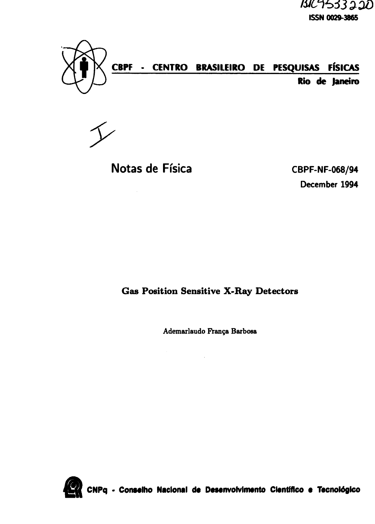BIC9533220 **ISSN 0029-3865**



# **CBPF - CENTRO BRASILEIRO DE PESQUISAS FÍSICAS Rio de Janeiro**

# **Notas de Ffsica CBPF-NF-068/94**

**December 1994**

# **Gas Position Sensitive X-Ray Detectors**

**Ademarlaudo Pranga Barbosa**

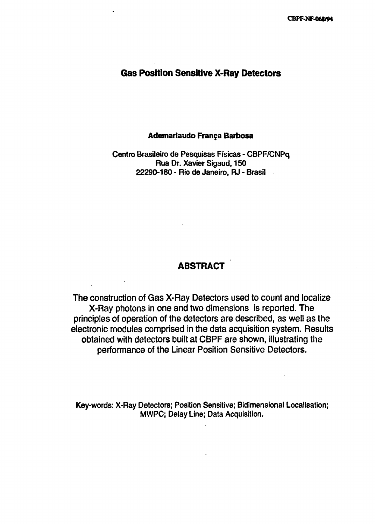# **Gas Position Sensitive X-Ray Detectors**

#### **Ademarlaudo Franga Barbosa**

# Centra Brasileiro de Pesquisas Fisicas - CBPF/CNPq Rua Dr. Xavier Sigaud, 150 22290-180 - Rio de Janeiro, RJ - Brasil

# **ABSTRACT**

The construction of Gas X-Ray Detectors used to count and localize X-Ray photons in one and two dimensions is reported. The principles of operation of the detectors are described, as well as the electronic modules comprised in the data acquisition system. Results obtained with detectors built at CBPF are shown, illustrating the performance of the Linear Position Sensitive Detectors.

Key-words: X-Ray Detectors; Position Sensitive; Bidimensional Localisation; MWPC; Delay Line; Data Acquisition.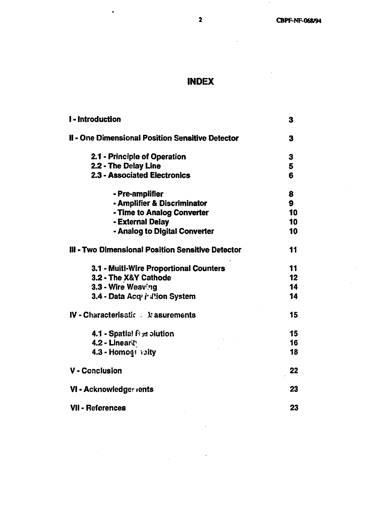# **INDEX**

| <b>I</b> - Introduction                           | 3  |
|---------------------------------------------------|----|
| II - One Dimensional Position Sensitive Detector  | 3  |
| 2.1 - Principle of Operation                      | 3  |
| 2.2 - The Delay Line                              | 5  |
| 2.3 - Associated Electronics                      | 6  |
| - Pre-amplifier                                   | 8  |
| - Amplifier & Discriminator                       | 9  |
| - Time to Analog Converter                        | 10 |
| - External Delay                                  | 10 |
| - Analog to Digital Converter                     | 10 |
| III - Two Dimensional Position Sensitive Detector | 11 |
| 3.1 - Muiti-Wire Proportional Counters            | 11 |
| 3.2 - The X&Y Cathode                             | 12 |
| 3.3 - Wire Weaving                                | 14 |
| 3.4 - Data Acq i Jtion System                     | 14 |
| IV - Characterisatic $\mathbb{R}$ & asurements    | 15 |
| 4.1 - Spatial $\beta$ as olution                  | 15 |
| 4.2 - Linearity                                   | 16 |
| 4.3 - Homogs vaity                                | 18 |
| <b>V</b> - Conclusion                             | 22 |
| VI - Acknowledger rents                           | 23 |
| <b>VII - References</b>                           | 23 |

 $\ddot{\phantom{0}}$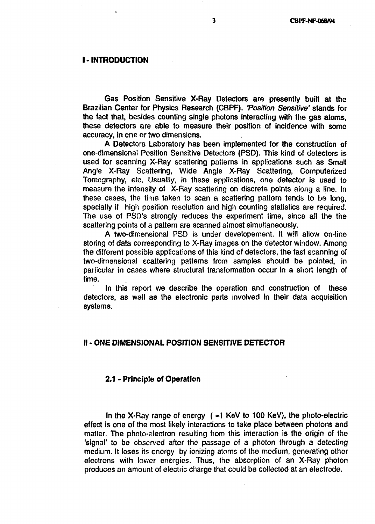#### **I-INTRODUCTION**

Gas Position Sensitive X-Ray Detectors are presently built at the Brazilian Center for Physics Research (CBPF). 'Position Sensitive' stands for the fact that, besides counting single photons interacting with the gas atoms, these detectors are able to measure their position of incidence with some accuracy, in one or two dimensions.

A Detectors Laboratory has been implemented for the construction of one-dimensiona! Position Sensitive Detectors (PSD). This kind of detectors is used for scanning X-Ray scattering patterns in applications such as Small Angle X-Ray Scattering, Wide Angle X-Ray Scattering, Computerized Tomography, etc. Usualliy, in these applications, one detector is used to measure the intensity of X-Ray scattering on discrete points aiong a line. In these cases, the time taken to scan a scattering pattern tends to be long, specially if high position resolution and high counting statistics are required. The use of PSD's strongly reduces the experiment time, since all the the scattering points of a pattern are scanned almost simultaneously.

A two-dimensional PSD is under developement. It will allow on-line storing of data corresponding to X-Ray images on the detector window. Among the different possible applications of this kind of detectors, the fast scanning of two-dimensional scattering patterns from samples should be pointed, in particular in cases where structural transformation occur in a short length of time.

In this report we describe the operation and construction of these detectors, as well as the electronic parts involved in their data acquisition systems.

#### II - ONE DIMENSIONAL POSITION SENSITIVE DETECTOR

#### 2.1 - Principle of Operation

In the X-Ray range of energy ( $\approx$ 1 KeV to 100 KeV), the photo-electric effect is one of the most likely interactions to take place between photons and matter. The photo-electron resulting from this interaction is the origin of the 'signal' to be observed after the passage of a photon through a detecting medium. It loses its energy by ionizing atoms of the medium, generating other electrons with lower energies. Thus, the absorption of an X-Ray photon produces an amount of electric charge that could be collected at an electrode.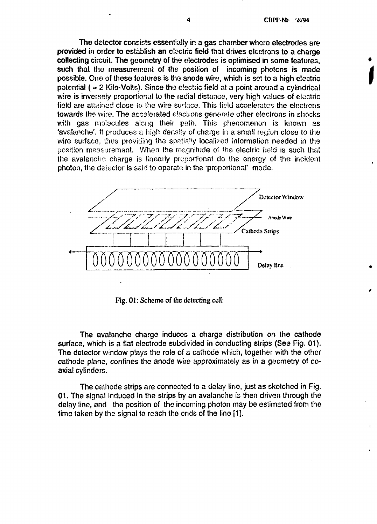The detector consists essentially in a gas chamber whore electrodes are provided in order to establish an electric field that drives electrons to a charge collecting circuit. The geometry of the electrodes is optimised in some features, such that the measurement of the position of incoming photons is made possible. One of these features is the anode wire, which is set to a high electric potential  $($   $\approx$  2 Kilo-Volts). Since the electric field at a point around a cylindrical wire is inversely proportional to the radial distance, very high values of electric field are attained close to the wire surface. This field accelerates the electrons towards the wire. The accelerated electrons generate other electrons in shocks with gas molecules along their path. This phenomenon is known as 'avalanche', ft produces a high density of charge in a small region close to the wire surface, thus providing the spatially localised information needed in the position measurement. When the magnitude of the electric field is such that the avalanche charge is linearly proportional do the energy of the incident photon, the deiector is said to operate in the 'proportional' mode.



Fig. 01: Scheme of the detecting cell

The avalanche charge induces a charge distribution on the cathode surface, which is a flat electrode subdivided in conducting strips (See Fig. 01). The detector window plays the role of a cathode which, together with the other cathode plane, confines the anode wire approximately as in a geometry of coaxial cylinders.

The cathode strips are connected to a delay line, just as sketched in Fig. 01. The signal induced in the strips by an avalanche is then driven through the delay line, and the position of the incoming photon may be estimated from the time taken by the signal to reach the ends of the line [1].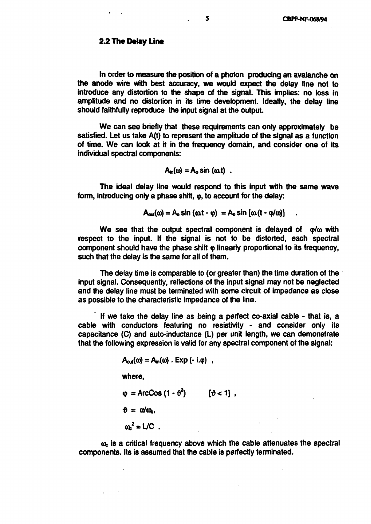In order to measure the position of a photon producing an avalanche on the anode wire with best accuracy, we would expect the delay line not to introduce any distortion to the shape of the signal. This implies: no loss in amplitude and no distortion in its time development. Ideally, the delay line should faithfully reproduce the input signal at the output.

We can see briefly that these requirements can only approximately be satisfied. Let us take A(t) to represent the amplitude of the signal as a function of time. We can look at it in the frequency domain, and consider one of its individual spectral components:

$$
A_{in}(\omega) = A_o \sin{(\omega t)}.
$$

The ideal delay line would respond to this input with the same wave form, introducing only a phase shift,  $\omega$ , to account for the delay:

$$
A_{\text{out}}(\omega) = A_0 \sin{(\omega t - \varphi)} = A_0 \sin{[\omega(t - \varphi/\omega)]}
$$

We see that the output spectral component is delayed of  $\varphi/\omega$  with respect to the input. If the signal is not to be distorted, each spectral component should have the phase shift  $\varphi$  linearly proportional to its frequency, such that the delay is the same for all of them.

The deiay time is comparable to (or greater than) the time duration of the input signal. Consequently, reflections of the input signal may not be neglected and the delay line must be terminated with some circuit of impedance as close as possible to the characteristic impedance of the line.

If we take the delay line as being a perfect co-axial cable - that is, a cable with conductors featuring no resistivity - and consider only its capacitance (C) and auto-inductance (L) per unit length, we can demonstrate that the following expression is valid for any spectral component of the signal:

$$
A_{\text{out}}(\omega) = A_{\text{in}}(\omega) . \text{Exp} (-i.\varphi) ,
$$

where,

 $\Phi = \text{ArcCos}(1 - \theta^2)$  [ $\theta < 1$ ],  $\theta = \omega/\omega_c$  $\omega^2 = LC$ .

 $\omega<sub>c</sub>$  is a critical frequency above which the cable attenuates the spectral components. Its is assumed that the cable is perfectly terminated.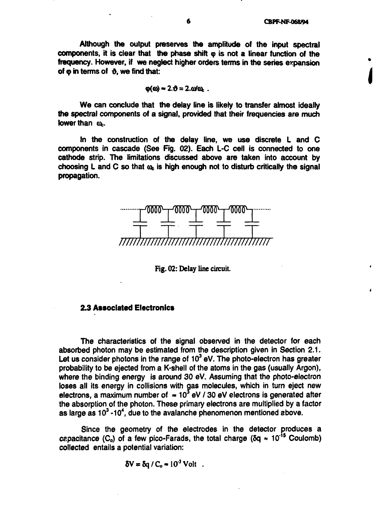**Although the output preserves the amplitude of the input spectral** components, it is clear that the phase shift  $\varphi$  is not a linear function of the **frequency. However, if we neglect higher orders terms in the series expansion** of  $\omega$  in terms of  $\vartheta$ , we find that:

$$
\varphi(\omega) \approx 2.00 = 2.00 \omega_{\text{L}}.
$$

**We can conclude that the delay line is likely to transfer almost ideally the spectral components of a signal, provided that their frequencies are much lower than**  $\omega$ **.** 

**In the construction of the delay line, we use discrete L and C components in cascade (See Fig. 02). Each L-C cell is connected to one cathode strip. The limitations discussed above are taken into account by** choosing L and C so that  $\omega_c$  is high enough not to disturb critically the signal **propagation.**



**Fig. 02: Delay line circuit.**

# **2.3 Associated Electronics**

**The characteristics of the signal observed in the detector for each absorbed photon may be estimated from the description given in Section 2.1. Let us consider photons in the range of 10<sup>3</sup> eV. The photo-electron has greater probability to be ejected from a K-shell of the atoms in the gas (usually Argon), where the binding energy is around 30 eV. Assuming that the photo-electron loses all its energy in collisions with gas molecules, which in turn eject new** electrons, a maximum number of  $\approx 10^3$  eV / 30 eV electrons is generated after **the absorption of the photon. These primary electrons are multiplied by a factor as large as 10<sup>3</sup> -10<sup>4</sup> , due to the avalanche phenomenon mentioned above.**

**Since the geometry of the electrodes in the detector produces a** capacitance  $(C_0)$  of a few pico-Farads, the total charge  $(\delta q \approx 10^{15} \text{ Coulomb})$ **collected entails a potential variation:**

 $\delta V = \delta q / C_0 \approx 10^{-3}$  Volt.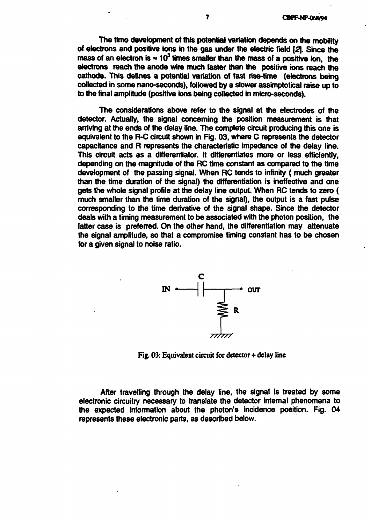**The timo development of this potential variation depends on the mobility of electrons and positive ions in the gas under the electric field [2[. Since the** mass of an electron is  $\approx 10^3$  times smaller than the mass of a positive ion, the **electrons reach the anode wire much faster than the positive ions reach the cathode. This defines a potential variation of fast rise-time (electrons being collected in some nanoseconds), followed by a slower assimptotical raise up to to the final amplitude (positive ions being collected in micro-seconds).**

**The considerations above refer to the signal at the electrodes of the detector. Actually, the signal concerning the position measurement is that arriving at the ends of the delay line. The complete circuit producing this one is equivalent to the R-C circuit shown in Fig. 03, where C represents the detector capacitance and R represents the characteristic impedance of the delay line. This circuit acts as a differentiator. It differentiates more or less efficiently, depending on the magnitude of the RC time constant as compared to the time development of the passing signal. When RC tends to infinity ( much greater than the time duration of the signal) the differentiation is ineffective and one gets the whole signal profile at the delay line output. When RC tends to zero ( much smaller than the time duration of the signal), the output is a fast pulse corresponding to the time derivative of the signal shape. Since the detector deals with a timing measurement to be associated with the photon position, the latter case is preferred. On the other hand, the differentiation may attenuate the signal amplitude, so that a compromise timing constant has to be chosen for a given signal to noise ratio.**



**Fig. 03: Equivalent circuit for detector+delay line**

**After travelling through the delay line, the signal is treated by some electronic circuitry necessary to translate the detector internal phenomena to the expected information about the photon's incidence position. Fig. 04 represents these electronic parts, as described below.**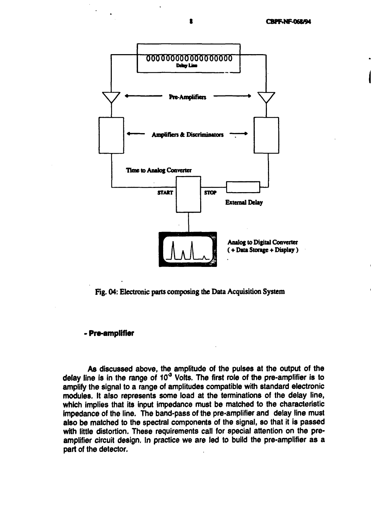

**Fig. 04: Electronic parts composing the Data Acquisition System**

# - **Pre-amplifier**

**As** discussed above, the amplitude of the pulses at the output of the delay line is in the range of  $10<sup>3</sup>$  Volts. The first role of the pre-amplifier is to amplify the signal to a range of amplitudes compatible with standard electronic modules. It also represents some load at the terminations of the delay line, which implies that its input impedance must be matched to the characteristic impedance of the line. The band-pass of the pre-amplifier and delay line must also be matched to the spectral components of the signal, so that it is passed with little distortion. These requirements call for special attention on the preamplifier circuit design. In practice we are led to build the pre-amplifier as a part of the detector.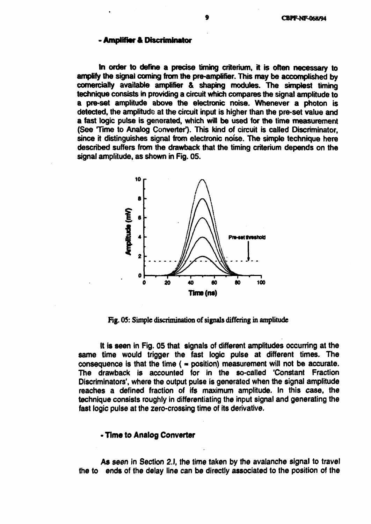#### **Amplifier & Discriminator**

**In order to define a precise timing criterium, it is often necessary to amplify the signal coming from the pre-amplifier. This may be accomplished by comercialty available amplifier & shaping modules. The simplest timing technique consists in providing a circuit which compares the signal amplitude to a pre-set amplitude above the electronic noise. Whenever a photon is detected, the amplitude at the circuit input is higher than the pre-set value and a fast logic pulse is generated, which will be used for the time measurement (See Time to Analog Converter')- This kind of circuit is called Discriminator, since it distinguishes signal from electronic noise. The simple technique here described suffers from the drawback that the timing criterium depends on the signal amplitude, as shown in Fig. 05.**



**Fig. 05: Simple discrimination of signals differing in amplitude**

**It is seen in Fig. 05 that signals of different amplitudes occurring at the same time would trigger the fast logic pulse at different times. The consequence is that the time ( \* position) measurement will not be accurate. The drawback is accounted for in the so-called 'Constant Fraction Discriminators', where the output pulse is generated when the signal amplitude reaches a defined fraction of ifs maximum amplitude. In this case, the technique consists roughly in differentiating the input signal and generating the fast logic pulse at the zero-crossing time of its derivative.**

#### **> Time to Analog Converter**

**As seen in Section 2.I, the time taken by the avalanche signal to travel the to ends of the delay line can be directly associated to the position of the**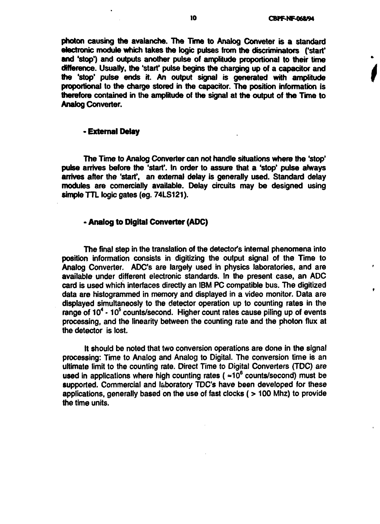**photon causing the avalanche. The Time to Analog Conveter is a standard electronic module which takes the logic pulses from the discriminators ('start' and 'stop') and outputs another pulse of amplitude proportional to their time difference. Usually, the 'start\* pulse begins the charging up of a capacitor and the 'stop\* pulse ends it. An output signal is generated with amplitude proportional to the charge stored in the capacitor. The position information is therefore contained in the amplitude of the signal at the output of the Time to Analog Converter.**

#### **- External Delay**

**The Time to Analog Converter can not handle situations where the 'stop' pulse arrives before the 'start\*. In order to assure that a 'stop' pulse always arrives after the 'start\*, an external delay is generally used. Standard delay modules are comercially available. Delay circuits may be designed using simple TTL logic gates (eg. 74LS121).**

# **- Analog to Digital Converter (ADC)**

**The final step in the translation of the detector's internal phenomena into position information consists in digitizing the output signal of the Time to Analog Converter. ADC's are largely used in physics laboratories, and are available under different electronic standards. In the present case, an ADC card is used which interfaces directly an IBM PC compatible bus. The digitized data are histogrammed in memory and displayed in a video monitor. Data are displayed simultaneosly to the detector operation up to counting rates in the range of 10<sup>4</sup> - 10<sup>5</sup> counts/second. Higher count rates cause piling up of events processing, and the linearity between the counting rate and the photon flux at the detector is lost.**

**It should be noted that two conversion operations are done in the signal processing: Time to Analog and Analog to Digital. The conversion time is an ultimate limit to the counting rate. Direct Time to Digital Converters (TDC) are used in applications where high counting rates ( \*10<sup>6</sup> counts/second) must be supported. Commercial and laboratory TDC's have been developed for these applications, generally based on the use of fast clocks (> 100 Mhz) to provide the time units.**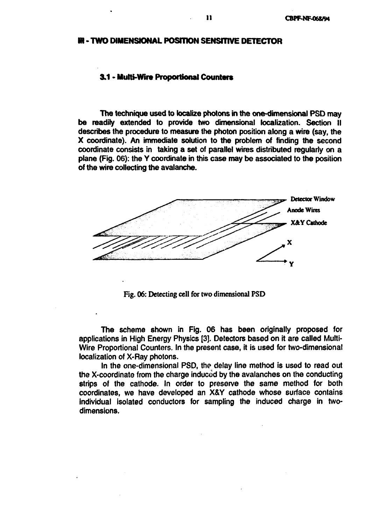#### **IH - TWO DIMENSIONAL POSITION SENSITIVE DETECTOR**

#### **3.1 - Multi-Wire Proportional Counters**

The technique used to localize photons in the one-dimensional PSD may be readily extended to provide two dimensional localization. Section II describes the procedure to measure the photon position along a wire (say, the X coordinate). An immediate solution to the problem of finding the second coordinate consists in taking a set of parallel wires distributed regularly on a plane (Fig. 06): the Y coordinate in this case may be associated to the position of the wire collecting the avalanche.



**Fig. 06: Detecting cell for two dimensional PSD**

The scheme shown in Fig. 06 has been originally proposed for applications in High Energy Physics [3]. Detectors based on it are called Multi-Wire Proportional Counters. In the present case, it is used for two-dimensional localization of X-Ray photons.

In the one-dimensional PSD, the delay line method is used to read out the X-coordinate from the charge induced by the avalanches on the conducting strips of the cathode. In order to preserve the same method for both coordinates, we have developed an X&Y cathode whose surface contains individual isolated conductors for sampling the induced charge in twodimensions.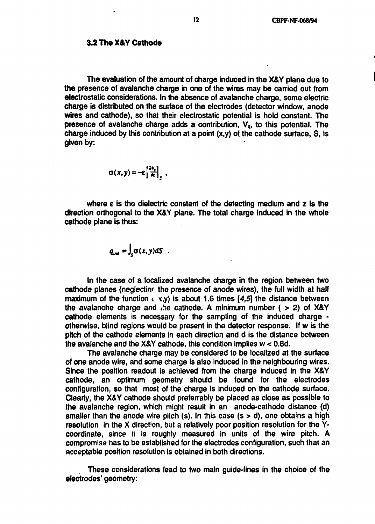The evaluation of the amount of charge induced in the X&Y plane due to **the** presence of avalanche charge in one of the wires may be carried out from electrostatic considerations. In the absence of avalanche charge, some electric charge is distributed on the surface of the electrodes (detector window, anode wires and cathode), so that their electrostatic potential is hold constant. The presence of avalanche charge adds a contribution,  $V_q$ , to this potential. The charge induced by this contribution at a point  $(x,y)$  of the cathode surface, S, is **given** by:

$$
\sigma(x,y)=-\varepsilon\left[\frac{\partial V_{\varepsilon}}{\partial z}\right]_{z}\ ,
$$

where  $\epsilon$  is the dielectric constant of the detecting medium and  $\epsilon$  is the direction orthogonal to the X&Y plane. The total charge induced in the whole cathode plane is thus:

$$
q_{\text{ind}} = \int_{S} \sigma(x, y) dS
$$

In the case of a localized avalanche charge in the region between two cathode planes (neglecting the presence of anode wires), the full width at half maximum of the function  $\langle x, y \rangle$  is about 1.6 times [4,5] the distance between the avalanche charge and the cathode. A minimum number ( > 2) of X&Y cathode elements is necessary for the sampling of the induced charge otherwise, blind regions would be present in the detector response. If w is the pitch of the cathode elements in each direction and d is the distance between **the** avalanche and the X&Y cathode, this condition implies w < 0.8d.

The avalanche charge may be considered to be localized at the surface of one anode wire, and some charge is also induced in the neighbouring wires. Since the position readout is achieved from the charge induced in the X&Y cathode, an optimum geometry should be found for the electrodes configuration, so that most of the charge is induced on the cathode surface. Clearly, the X&Y cathode should preferrably be placed as close as possible to **the** avalanche region, which might result in an anode-cathode distance (d) smaller than the anode wire pitch (s). In this case  $(s > d)$ , one obtains a high resolution in the X direction, but a relatively poor position resolution for the Ycoordinate, since it is roughly measured in units of the wire pitch. A compromise nas to be established for the electrodes configuration, such that an acceptable position resolution is obtained in both directions.

These considerations lead to two main guide-lines in the choice of the electrodes' geometry: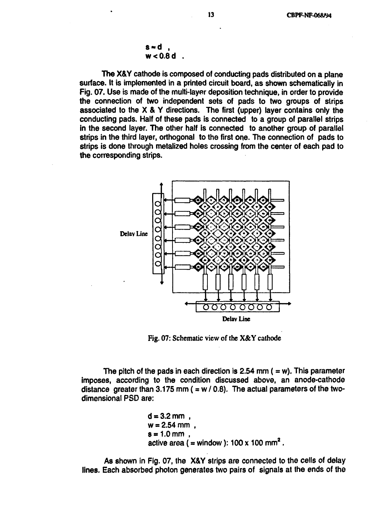$$
s \approx d
$$
,  

$$
w < 0.8 d
$$
.

**The** X&Y cathode is composed of conducting pads distributed on a plane surface. It is implemented in a printed circuit board, as shown schematically in Fig. 07. Use is made of the multi-layer deposition technique, in order to provide the connection of two independent sets of pads to two groups of strips associated to the X & Y directions. The first (upper) layer contains only the conducting pads. Half of these pads is connected to a group of parallel strips in the second layer. The other half is connected to another group of parallel strips in the third layer, orthogonal to the first one. The connection of pads to strips is done through metalized holes crossing from the center of each pad to the corresponding strips.



**Fig. 07: Schematic view of the X&Y cathode**

The pitch of the pads in each direction is 2.54 mm  $($  = w). This parameter imposes, according to the condition discussed above, an anode-cathode distance greater than 3.175 mm ( $= w / 0.8$ ). The actual parameters of the twodimensional PSD are:

$$
d = 3.2 \text{ mm}
$$
,  
w = 2.54 mm ,  
s = 1.0 mm ,  
active area (= window): 100 x 100 mm<sup>2</sup>.

As shown in Fig. 07, the X&Y strips are connected to the cells of delay lines. Each absorbed photon generates two pairs of signals at the ends of the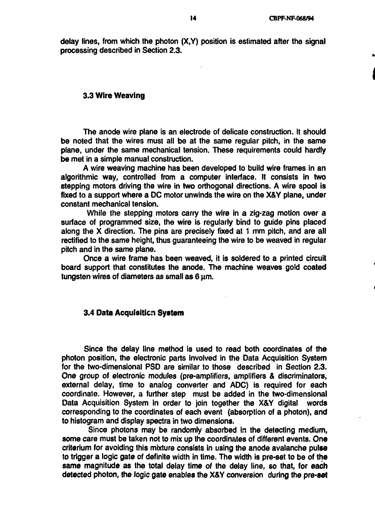**delay lines, from which the photon (X,Y) position is estimated after the signal processing described in Section 2.3.**

#### **3.3 Wire Weaving**

**The anode wire plane is an electrode of delicate construction. It should be noted that the wires must all be at the same regular pitch, in the same plane, under the same mechanical tension. These requirements could hardly be met in a simple manual construction.**

**A wire weaving machine has been developed to build wire frames in an algorithmic way, controlled from a computer interface. It consists in two stepping motors driving the wire in two orthogonal directions. A wire spool is fixed to a support where a DC motor unwinds the wire on the X&Y plane, under constant mechanical tension.**

**While the stepping motors carry the wire in a zig-zag motion over a surface of programmed size, the wire is regularly bind to guide pins placed along the X direction. The pins are precisely fixed at 1 mm pitch, and are all rectified to the same height, thus guaranteeing the wire to be weaved in regular pitch and in the same plane.**

**Once a wire frame has been weaved, it is soldered to a printed circuit board support that constitutes the anode. The machine weaves gold coated tungsten wires of diameters as small as 6 um**

# **3.4 Data Acquisition System**

**Since the delay line method is used to read both coordinates of the photon position, the electronic parts involved in the Data Acquisition System for the two-dimensional PSD are similar to those described in Section 2.3. One group of electronic modules (pre-amplifiers, amplifiers & discriminators, external delay, time to analog converter and ADC) is required for each coordinate. However, a further step must be added in the two-dimensional Data Acquisition System in order to join together the X&Y digital words corresponding to the coordinates of each event (absorption of a photon), and to histogram and display spectra in two dimensions.**

**Since photons may be randomly absorbed in the detecting medium, some care must be taken not to mix up the coordinates of different events. One criterium for avoiding this mixture consists in using the anode avalanche pulse to trigger a logic gate of definite width in time. The width is pre-set to be of the same magnitude as the total delay time of the delay line, so that, for each detected photon, the logic gate enables the X&Y conversion during the pre-set**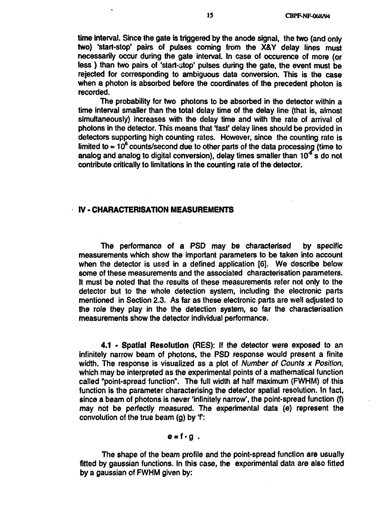time interval. Since the gate is triggered by the anode signal, the two (and only two) 'start-stop' pairs of pulses coming from the X&Y delay lines must necessarily occur during the gate interval. In case of occurence of more (or less ) than two pairs of 'start-atop' pulses during the gate, the event must be rejected for corresponding to ambiguous data conversion. This is the case when a photon is absorbed before the coordinates of the precedent photon is recorded.

The probability for two photons to be absorbed in the detector within a time interval smaller than the total delay time of the delay line (that is, almost simultaneously) increases with the delay time and with the rate of arrival of photons in the detector. This means that 'fast' delay lines should be provided in detectors supporting high counting rates. However, since the counting rate is limited to  $\approx 10^6$  counts/second due to other parts of the data processing (time to analog and analog to digital conversion), delay times smaller than  $10<sup>5</sup>$  s do not contribute critically to limitations in the counting rate of the detector.

### **IV** - **CHARACTERISATION MEASUREMENTS**

The performance of a PSD may be characterised by specific measurements which show the important parameters to be taken into account when the detector is used in a defined application [6]. We describe below some of these measurements and the associated characterisation parameters. It must be noted that the results of these measurements refer not only to the detector but to the whole detection system, including the electronic parts mentioned in Section 2.3. As far as these electronic parts are well adjusted to the role they play in the the detection system, so far the characterisation measurements show the detector individual performance.

4.1 - Spatial Resolution (RES): If the detector were exposed to an infinitely narrow beam of photons, the PSD response would present a finite width. The response is visualized as a plot of Number of Counts x Position, which may be interpreted as the experimental points of a mathematical function called "point-spread function". The full width at half maximum (FWHM) of this function is the parameter characterising the detector spatial resolution. In fact, since a beam of photons is never 'infinitely narrow', the point-spread function (f) may not be perfectly measured. The experimental data (e) represent the convolution of the true beam (g) by 'f:

## $e = f \cdot g$ .

The shape of the beam profile and the point-spread function are usually fitted by gaussian functions. In this case, the experimental data are also fitted by a gaussian of FWHM given by: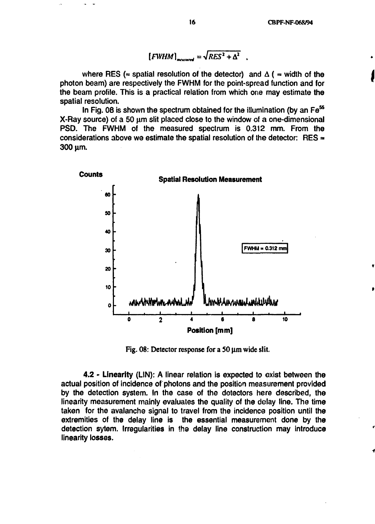$[FWHM]_{\text{max}} = \sqrt{RES^2 + \Delta^2}$ 

where RES ( $\approx$  spatial resolution of the detector) and  $\Delta$  ( $\approx$  width of the **photon beam) are respectively the FWHM for the point-spread function and for the beam profile. This is a practical relation from which one may estimate the spatial resolution.**

**In Fig. 08 is shown the spectrum obtained for the illumination (by an Fe<sup>55</sup>** X-Ray source) of a 50 um slit placed close to the window of a one-dimensional **PSD. The FWHM of the measured spectrum is 0.312 mm. From the considerations above we estimate the spatial resolution of the detector: RES »** 300 um.



**Fig. 08: Detector response for a SO** *\im* **wide slit.**

**4.2 - Linearity (LIN): A linear relation is expected to exist between the actual position of incidence of photons and the position measurement provided by the detection system. In the case of the detectors here described, the linearity measurement mainly evaluates the quality of the delay line. The time taken for the avalanche signal to travel from the incidence position until the extremities of the delay line is the essential measurement done by the detection sytem. Irregularities in the delay line construction may introduce linearity losses.**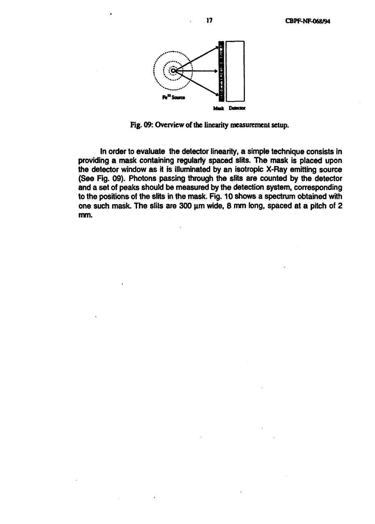

**Fig. 09: Overview of the linearity measurement setup.**

**In order to evaluate the detector linearity, a simple technique consists in providing a mask containing regularly spaced slits. The mask is placed upon the detector window as it is illuminated by an isotropic X-Ray emitting source (See Fig. 09). Photons passing through the slits are counted by the detector and a set of peaks should be measured by the detection system, conresponding to the positions of the slits in the mask. Fig. 10 shows a spectrum obtained with one such mask. The sliis are 300 urn wide, 8 mm long, spaced at a pitch of 2 mm.**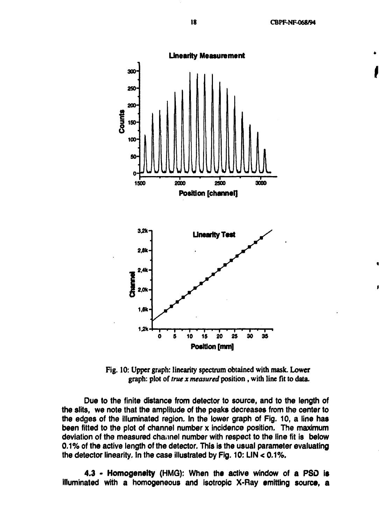**18 CBPF-NF-068/94**



**Fig. 10: Upper graph: linearity spectrum obtained with mask. Lower graph: plot of** *true x measured* **position, with line fit to data.**

**Due to the finite distance from detector to source, and to the length of the slits, we note that the amplitude of the peaks decreases from the center to the edges of the illuminated region. In the lower graph of Fig. 10, a line has been fitted to the plot of channel number x incidence position. The maximum deviation of the measured channel number with respect to the line fit is below 0.1% of the active length of the detector. This is the usual parameter evaluating the detector linearity. In the case illustrated by Fig. 10: LIN < 0.1%.**

**4.3 - Homogeneity (HMG): When the active window of a PSD is illuminated with a homogeneous and isotropic X-Ray emitting source, a**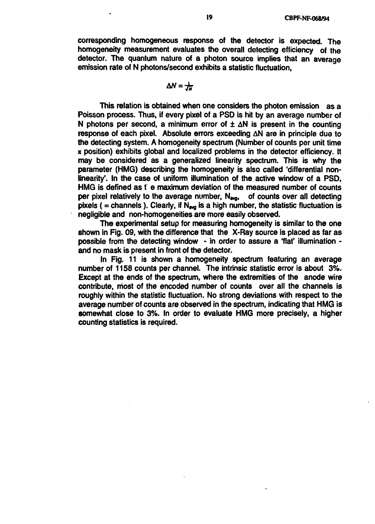**corresponding homogeneous response of the detector is expected. The homogeneity measurement evaluates the overall detecting efficiency of the detector. The quantum nature of a photon source implies that an average emission rate of N photons/second exhibits a statistic fluctuation,**

$$
\Delta N = \frac{1}{J_N}
$$

**This relation is obtained when one considers the photon emission as a Poisson process. Thus, if every pixel of a PSD is hit by an average number of N** photons per second, a minimum error of  $\pm \Delta N$  is present in the counting **response of each pixel. Absolute errors exceeding AN are in principle due to the detecting system. A homogeneity spectrum (Number of counts per unit time x position) exhibits global and localized problems in the detector efficiency. It may be considered as a generalized linearity spectrum. This is why the parameter (HMG) describing the homogeneity is also called 'differential nonlinearity'. In the case of uniform illumination of the active window of a PSD, HMG is defined as t e maximum deviation of the measured number of counts per pixel relatively to the average number, N<sub>ava</sub>, of counts over all detecting** pixels ( $=$  channels). Clearly, if  $N_{\text{avg}}$  is a high number, the statistic fluctuation is **negligible and non-homogeneities are more easily observed.**

**The experimental setup for measuring homogeneity is similar to the one shown in Fig. 09, with the difference that the X-Ray source is placed as far as possible from the detecting window - in order to assure a flat' illumination and no mask is present in front of the detector.**

**In Fig. 11 is shown a homogeneity spectrum featuring an average number of 1158 counts per channel. The intrinsic statistic error is about 3%. Except at the ends of the spectrum, where the extremities of the anode wire contribute, most of the encoded number of counts over all the channels is roughly within the statistic fluctuation. No strong deviations with respect to the average number of counts are observed in the spectrum, indicating that HMG is somewhat close to 3%. In order to evaluate HMG more precisely, a higher counting statistics is required.**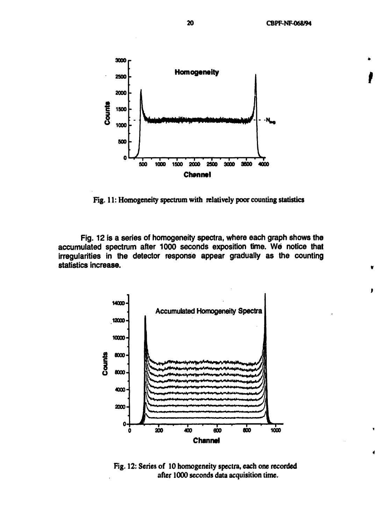$\bullet$ 



**Fig. 11: Homogeneity spectrum with relatively poor counting statistics**

**Fig. 12 is a series of homogeneity spectra, where each graph shows the accumulated spectrum after 1000 seconds exposition time. We notice that irregularities in the detector response appear gradually as the counting statistics increase.**



**Fig. 12: Series of 10 homogeneity spectra, each one recorded after 1000 seconds data acquisition time.**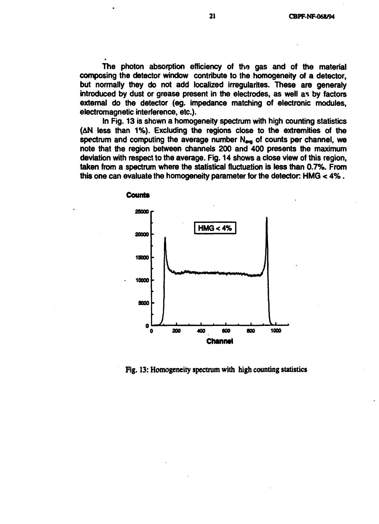**The photon absorption efficiency of the gas and of the material composing the detector window contribute to the homogeneity of a detector, but normally they do not add localized irregularites. These are generaly introduced by dust or grease present in the electrodes, as well as by factors external do the detector (eg. impedance matching of electronic modules, electromagnetic interference, etc.).**

**In Fig. 13 is shown a homogeneity spectrum with high counting statistics (AN less than 1%). Excluding the regions close to the extremities of the** spectrum and computing the average number N<sub>ava</sub> of counts per channel, we **note that the region between channels 200 and 400 presents the maximum deviation with respect to the average. Fig. 14 shows a close view of this region, taken from a spectrum where the statistical fluctuation is less than 0.7%. From this one can evaluate the homogeneity parameter for the detector. HMG < 4%.**



Fig. 13: Homogeneity spectrum with high counting statistics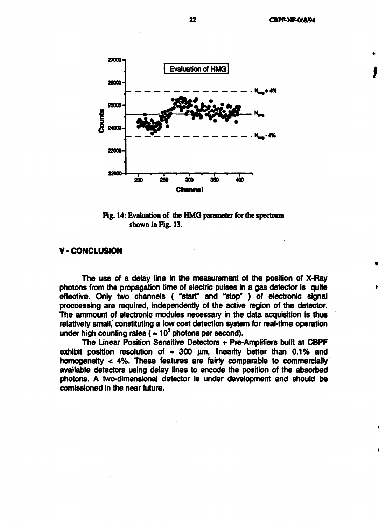

**Fig. 14: Evaluation of the HMG parameter for the spectrum shown in Fig. 13.**

# **V- CONCLUSION**

**The use of a delay line in the measurement of the position of X-Ray photons from the propagation time of electric pulses in a gas detector is quite effective. Only two channels ( "start" and "stop" ) of electronic signal proccessing are required, independently of the active region of the detector. The ammount of electronic modules necessary in the data acquisition is thus relatively small, constituting a low cost detection system for real-time operation under high counting rates (»10<sup>5</sup> photons per second).**

**The Linear Position Sensitive Detectors + Pre-Amplifiers built at CBPF** exhibit position resolution of  $\sim$  300  $\mu$ m, linearity better than 0.1% and **homogeneity < 4%. These features are fairly comparable to commercially available detectors using delay lines to encode the position of the absorbed photons. A two-dimensional detector is under development and should be comissioned in the near future.**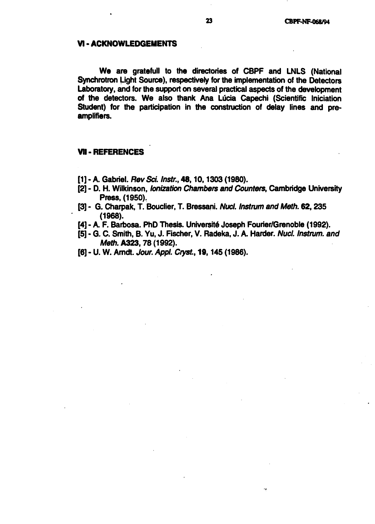# **VI - ACKNOWLEDGEMENTS**

**We** are gratefull to the directories of CBPF and LNLS (National Synchrotron Light Source), respectively for the implementation of the Detectors Laboratory, and for the support on several practical aspects of the development of the detectors. We also thank Ana Lucia Capechi (Scientific Iniciation Student) for the participation in the construction of delay lines and preamplifiers.

# **VII-REFERENCES**

- [1] A. Gabriel. Rev Sci. Instr., 48, 10, 1303 (1980).
- [2] D. H. Wilkinson, lonization Chambers and Counters, Cambridge University Press, (1950).
- [3] G. Charpak, T. Bouclier, T. Bressani. Nucl. Instrum and Meth. 62,235 **(1968).**
- [4] A. F. Barbosa. PhD Thesis. Université Joseph Fourier/Grenoble (1992).
- [5] G. C. Smith, B. Yu, J. Fischer, V. Radeka, J. A. Harder. Nucl. Instrum. and Meth. **A323,**78 (1992).
- [6] U. W. Arndt. Jour. Appl. Cryst, 19,145 (1986).